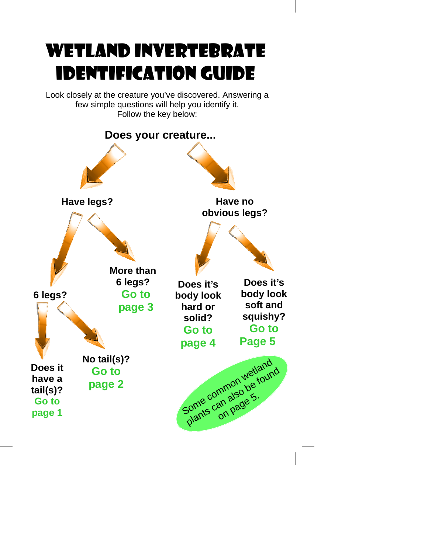# Wetland Invertebrate IDentification Guide

Look closely at the creature you've discovered. Answering a few simple questions will help you identify it. Follow the key below:

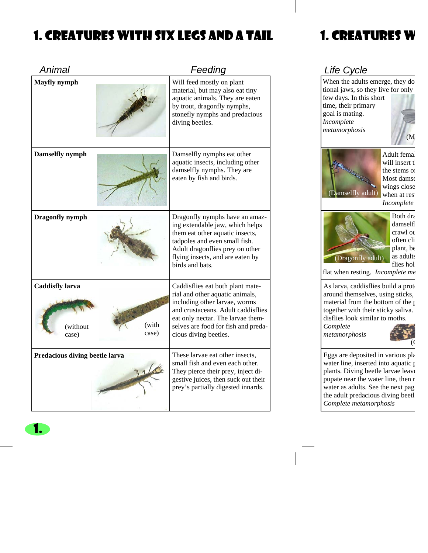# 1. Creatures with Six legs and a tail

| Animal                                                        | Feeding                                                                                                                                                                                                                                         |
|---------------------------------------------------------------|-------------------------------------------------------------------------------------------------------------------------------------------------------------------------------------------------------------------------------------------------|
| <b>Mayfly</b> nymph                                           | Will feed mostly on plant<br>material, but may also eat tiny<br>aquatic animals. They are eaten<br>by trout, dragonfly nymphs,<br>stonefly nymphs and predacious<br>diving beetles.                                                             |
| Damselfly nymph                                               | Damselfly nymphs eat other<br>aquatic insects, including other<br>damselfly nymphs. They are<br>eaten by fish and birds.                                                                                                                        |
| <b>Dragonfly</b> nymph                                        | Dragonfly nymphs have an amaz-<br>ing extendable jaw, which helps<br>them eat other aquatic insects,<br>tadpoles and even small fish.<br>Adult dragonflies prey on other<br>flying insects, and are eaten by<br>birds and bats.                 |
| <b>Caddisfly larva</b><br>(with<br>(without<br>case)<br>case) | Caddisflies eat both plant mate-<br>rial and other aquatic animals,<br>including other larvae, worms<br>and crustaceans. Adult caddisflies<br>eat only nectar. The larvae them-<br>selves are food for fish and preda-<br>cious diving beetles. |
| Predacious diving beetle larva                                | These larvae eat other insects,<br>small fish and even each other.<br>They pierce their prey, inject di-<br>gestive juices, then suck out their<br>prey's partially digested innards.                                                           |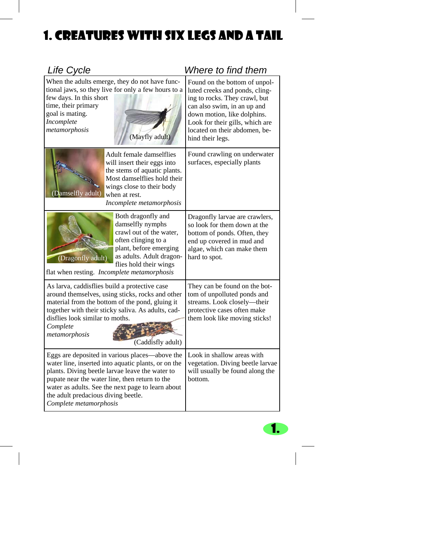# 1. Creatures with six legs and a tail

| Life Cycle                                                                                                                                                                                                                                                                                                                       |                                                                                                                                                                                                                         | Where to find them                                                                                                                                                                                                                                     |
|----------------------------------------------------------------------------------------------------------------------------------------------------------------------------------------------------------------------------------------------------------------------------------------------------------------------------------|-------------------------------------------------------------------------------------------------------------------------------------------------------------------------------------------------------------------------|--------------------------------------------------------------------------------------------------------------------------------------------------------------------------------------------------------------------------------------------------------|
| When the adults emerge, they do not have func-<br>tional jaws, so they live for only a few hours to a<br>few days. In this short<br>time, their primary<br>goal is mating.<br>Incomplete<br>metamorphosis<br>(Mayfly adult)                                                                                                      |                                                                                                                                                                                                                         | Found on the bottom of unpol-<br>luted creeks and ponds, cling-<br>ing to rocks. They crawl, but<br>can also swim, in an up and<br>down motion, like dolphins.<br>Look for their gills, which are<br>located on their abdomen, be-<br>hind their legs. |
| Adult female damselflies<br>will insert their eggs into<br>the stems of aquatic plants.<br>Most damselflies hold their<br>wings close to their body<br>(Damselfly adult)<br>when at rest.<br>Incomplete metamorphosis                                                                                                            |                                                                                                                                                                                                                         | Found crawling on underwater<br>surfaces, especially plants                                                                                                                                                                                            |
| (Dragonfly adult)                                                                                                                                                                                                                                                                                                                | Both dragonfly and<br>damselfly nymphs<br>crawl out of the water,<br>often clinging to a<br>plant, before emerging<br>as adults. Adult dragon-<br>flies hold their wings<br>flat when resting. Incomplete metamorphosis | Dragonfly larvae are crawlers,<br>so look for them down at the<br>bottom of ponds. Often, they<br>end up covered in mud and<br>algae, which can make them<br>hard to spot.                                                                             |
| As larva, caddisflies build a protective case<br>around themselves, using sticks, rocks and other<br>material from the bottom of the pond, gluing it<br>together with their sticky saliva. As adults, cad-<br>disflies look similar to moths.<br>Complete<br>metamorphosis<br>(Caddisfly adult)                                  |                                                                                                                                                                                                                         | They can be found on the bot-<br>tom of unpolluted ponds and<br>streams. Look closely-their<br>protective cases often make<br>them look like moving sticks!                                                                                            |
| Eggs are deposited in various places—above the<br>water line, inserted into aquatic plants, or on the<br>plants. Diving beetle larvae leave the water to<br>pupate near the water line, then return to the<br>water as adults. See the next page to learn about<br>the adult predacious diving beetle.<br>Complete metamorphosis |                                                                                                                                                                                                                         | Look in shallow areas with<br>vegetation. Diving beetle larvae<br>will usually be found along the<br>bottom.                                                                                                                                           |

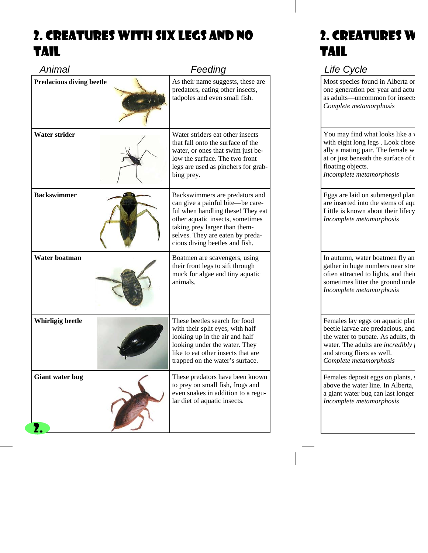#### 2. Creatures with six legs and no tail

| Animal                          | Feeding                                                                                                                                                                                                                                            |
|---------------------------------|----------------------------------------------------------------------------------------------------------------------------------------------------------------------------------------------------------------------------------------------------|
| <b>Predacious diving beetle</b> | As their name suggests, these are<br>predators, eating other insects,<br>tadpoles and even small fish.                                                                                                                                             |
| <b>Water strider</b>            | Water striders eat other insects<br>that fall onto the surface of the<br>water, or ones that swim just be-<br>low the surface. The two front<br>legs are used as pinchers for grab-<br>bing prey.                                                  |
| <b>Backswimmer</b>              | Backswimmers are predators and<br>can give a painful bite-be care-<br>ful when handling these! They eat<br>other aquatic insects, sometimes<br>taking prey larger than them-<br>selves. They are eaten by preda-<br>cious diving beetles and fish. |
| Water boatman                   | Boatmen are scavengers, using<br>their front legs to sift through<br>muck for algae and tiny aquatic<br>animals.                                                                                                                                   |
| <b>Whirligig beetle</b>         | These beetles search for food<br>with their split eyes, with half<br>looking up in the air and half<br>looking under the water. They<br>like to eat other insects that are<br>trapped on the water's surface.                                      |
| <b>Giant water bug</b>          | These predators have been known<br>to prey on small fish, frogs and<br>even snakes in addition to a regu-<br>lar diet of aquatic insects.                                                                                                          |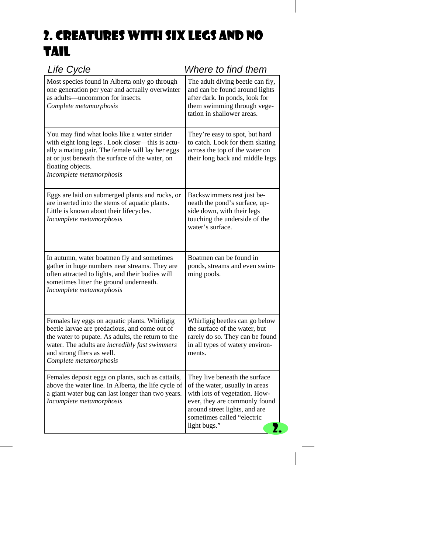#### 2. Creatures with six legs and no tail

| Life Cycle                                                                                                                                                                                                                                                    | Where to find them                                                                                                                                                                                               |
|---------------------------------------------------------------------------------------------------------------------------------------------------------------------------------------------------------------------------------------------------------------|------------------------------------------------------------------------------------------------------------------------------------------------------------------------------------------------------------------|
| Most species found in Alberta only go through<br>one generation per year and actually overwinter<br>as adults—uncommon for insects.<br>Complete metamorphosis                                                                                                 | The adult diving beetle can fly,<br>and can be found around lights<br>after dark. In ponds, look for<br>them swimming through vege-<br>tation in shallower areas.                                                |
| You may find what looks like a water strider<br>with eight long legs. Look closer—this is actu-<br>ally a mating pair. The female will lay her eggs<br>at or just beneath the surface of the water, on<br>floating objects.<br>Incomplete metamorphosis       | They're easy to spot, but hard<br>to catch. Look for them skating<br>across the top of the water on<br>their long back and middle legs                                                                           |
| Eggs are laid on submerged plants and rocks, or<br>are inserted into the stems of aquatic plants.<br>Little is known about their lifecycles.<br>Incomplete metamorphosis                                                                                      | Backswimmers rest just be-<br>neath the pond's surface, up-<br>side down, with their legs<br>touching the underside of the<br>water's surface.                                                                   |
| In autumn, water boatmen fly and sometimes<br>gather in huge numbers near streams. They are<br>often attracted to lights, and their bodies will<br>sometimes litter the ground underneath.<br>Incomplete metamorphosis                                        | Boatmen can be found in<br>ponds, streams and even swim-<br>ming pools.                                                                                                                                          |
| Females lay eggs on aquatic plants. Whirligig<br>beetle larvae are predacious, and come out of<br>the water to pupate. As adults, the return to the<br>water. The adults are incredibly fast swimmers<br>and strong fliers as well.<br>Complete metamorphosis | Whirligig beetles can go below<br>the surface of the water, but<br>rarely do so. They can be found<br>in all types of watery environ-<br>ments.                                                                  |
| Females deposit eggs on plants, such as cattails,<br>above the water line. In Alberta, the life cycle of<br>a giant water bug can last longer than two years.<br>Incomplete metamorphosis                                                                     | They live beneath the surface<br>of the water, usually in areas<br>with lots of vegetation. How-<br>ever, they are commonly found<br>around street lights, and are<br>sometimes called "electric<br>light bugs." |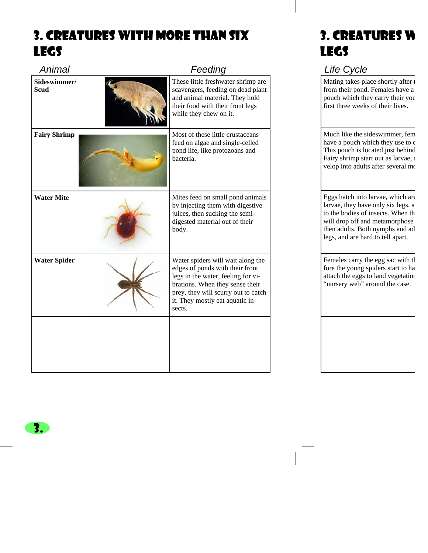#### 3. Creatures with more than six legs

| Animal               | Feeding                                                                                                                                                                                                                           |  |
|----------------------|-----------------------------------------------------------------------------------------------------------------------------------------------------------------------------------------------------------------------------------|--|
| Sideswimmer/<br>Scud | These little freshwater shrimp are<br>scavengers, feeding on dead plant<br>and animal material. They hold<br>their food with their front legs<br>while they chew on it.                                                           |  |
| <b>Fairy Shrimp</b>  | Most of these little crustaceans<br>feed on algae and single-celled<br>pond life, like protozoans and<br>bacteria.                                                                                                                |  |
| <b>Water Mite</b>    | Mites feed on small pond animals<br>by injecting them with digestive<br>juices, then sucking the semi-<br>digested material out of their<br>body.                                                                                 |  |
| <b>Water Spider</b>  | Water spiders will wait along the<br>edges of ponds with their front<br>legs in the water, feeling for vi-<br>brations. When they sense their<br>prey, they will scurry out to catch<br>it. They mostly eat aquatic in-<br>sects. |  |
|                      |                                                                                                                                                                                                                                   |  |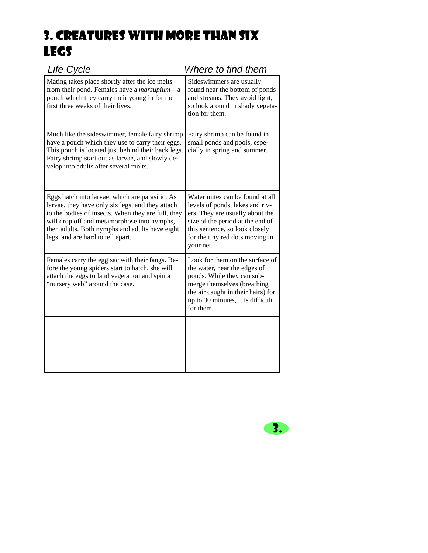#### 3. Creatures with more than six legs

| Life Cycle                                                                                                                                                                                                                                                                                      | Where to find them                                                                                                                                                                                                          |
|-------------------------------------------------------------------------------------------------------------------------------------------------------------------------------------------------------------------------------------------------------------------------------------------------|-----------------------------------------------------------------------------------------------------------------------------------------------------------------------------------------------------------------------------|
| Mating takes place shortly after the ice melts<br>from their pond. Females have a <i>marsupium</i> —a<br>pouch which they carry their young in for the<br>first three weeks of their lives.                                                                                                     | Sideswimmers are usually<br>found near the bottom of ponds<br>and streams. They avoid light,<br>so look around in shady vegeta-<br>tion for them.                                                                           |
| Much like the sideswimmer, female fairy shrimp<br>have a pouch which they use to carry their eggs.<br>This pouch is located just behind their back legs.<br>Fairy shrimp start out as larvae, and slowly de-<br>velop into adults after several molts.                                          | Fairy shrimp can be found in<br>small ponds and pools, espe-<br>cially in spring and summer.                                                                                                                                |
| Eggs hatch into larvae, which are parasitic. As<br>larvae, they have only six legs, and they attach<br>to the bodies of insects. When they are full, they<br>will drop off and metamorphose into nymphs,<br>then adults. Both nymphs and adults have eight<br>legs, and are hard to tell apart. | Water mites can be found at all<br>levels of ponds, lakes and riv-<br>ers. They are usually about the<br>size of the period at the end of<br>this sentence, so look closely<br>for the tiny red dots moving in<br>your net. |
| Females carry the egg sac with their fangs. Be-<br>fore the young spiders start to hatch, she will<br>attach the eggs to land vegetation and spin a<br>"nursery web" around the case.                                                                                                           | Look for them on the surface of<br>the water, near the edges of<br>ponds. While they can sub-<br>merge themselves (breathing<br>the air caught in their hairs) for<br>up to 30 minutes, it is difficult<br>for them.        |
|                                                                                                                                                                                                                                                                                                 |                                                                                                                                                                                                                             |

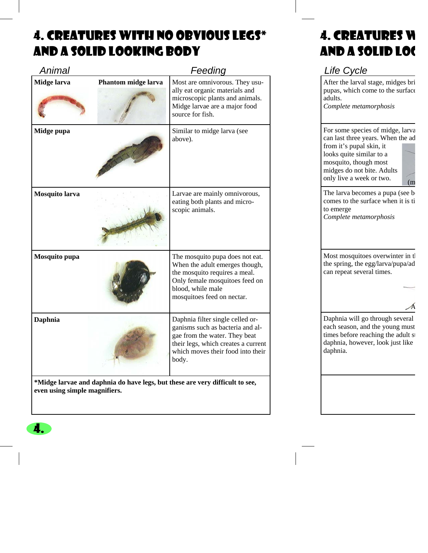#### 4. Creatures with no obvious legs\* and a solid looking body

| <b>Animal</b>  | Feeding             |                                                                                                                                                                                            |
|----------------|---------------------|--------------------------------------------------------------------------------------------------------------------------------------------------------------------------------------------|
| Midge larva    | Phantom midge larva | Most are omnivorous. They usu-<br>ally eat organic materials and<br>microscopic plants and animals.<br>Midge larvae are a major food<br>source for fish.                                   |
| Midge pupa     |                     | Similar to midge larva (see<br>above).                                                                                                                                                     |
| Mosquito larva |                     | Larvae are mainly omnivorous,<br>eating both plants and micro-<br>scopic animals.                                                                                                          |
| Mosquito pupa  |                     | The mosquito pupa does not eat.<br>When the adult emerges though,<br>the mosquito requires a meal.<br>Only female mosquitoes feed on<br>blood, while male<br>mosquitoes feed on nectar.    |
| <b>Daphnia</b> |                     | Daphnia filter single celled or-<br>ganisms such as bacteria and al-<br>gae from the water. They beat<br>their legs, which creates a current<br>which moves their food into their<br>body. |

**\*Midge larvae and daphnia do have legs, but these are very difficult to see, even using simple magnifiers.** 

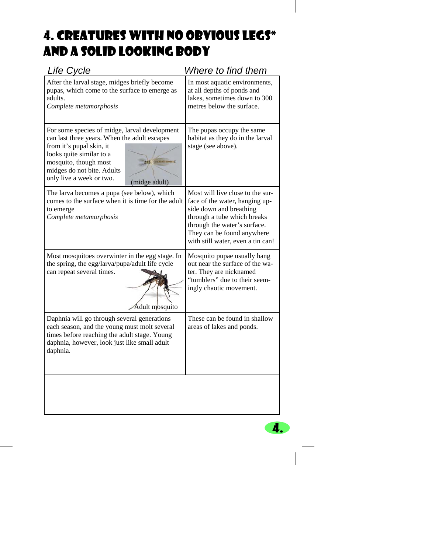#### 4. Creatures with no obvious legs\* and a solid looking body

| <b>Life Cycle</b>                                                                                                                                                                                                                                         | Where to find them                                                                                                                                                                                                              |
|-----------------------------------------------------------------------------------------------------------------------------------------------------------------------------------------------------------------------------------------------------------|---------------------------------------------------------------------------------------------------------------------------------------------------------------------------------------------------------------------------------|
| After the larval stage, midges briefly become<br>pupas, which come to the surface to emerge as<br>adults.<br>Complete metamorphosis                                                                                                                       | In most aquatic environments,<br>at all depths of ponds and<br>lakes, sometimes down to 300<br>metres below the surface.                                                                                                        |
| For some species of midge, larval development<br>can last three years. When the adult escapes<br>from it's pupal skin, it<br>looks quite similar to a<br>mosquito, though most<br>midges do not bite. Adults<br>only live a week or two.<br>(midge adult) | The pupas occupy the same<br>habitat as they do in the larval<br>stage (see above).                                                                                                                                             |
| The larva becomes a pupa (see below), which<br>comes to the surface when it is time for the adult<br>to emerge<br>Complete metamorphosis                                                                                                                  | Most will live close to the sur-<br>face of the water, hanging up-<br>side down and breathing<br>through a tube which breaks<br>through the water's surface.<br>They can be found anywhere<br>with still water, even a tin can! |
| Most mosquitoes overwinter in the egg stage. In<br>the spring, the egg/larva/pupa/adult life cycle<br>can repeat several times.<br>Adult mosquito                                                                                                         | Mosquito pupae usually hang<br>out near the surface of the wa-<br>ter. They are nicknamed<br>"tumblers" due to their seem-<br>ingly chaotic movement.                                                                           |
| Daphnia will go through several generations<br>each season, and the young must molt several<br>times before reaching the adult stage. Young<br>daphnia, however, look just like small adult<br>daphnia.                                                   | These can be found in shallow<br>areas of lakes and ponds.                                                                                                                                                                      |
|                                                                                                                                                                                                                                                           |                                                                                                                                                                                                                                 |

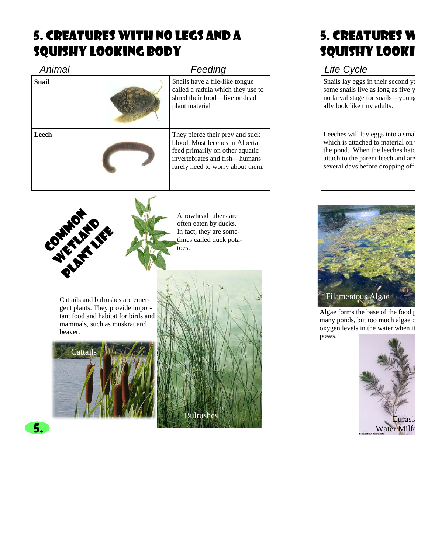#### 5. Creatures with no legs and a squishy looking body

| Animal       | Feeding |                                                                                                                                                                           |
|--------------|---------|---------------------------------------------------------------------------------------------------------------------------------------------------------------------------|
| <b>Snail</b> |         | Snails have a file-like tongue<br>called a radula which they use to<br>shred their food—live or dead<br>plant material                                                    |
| Leech        |         | They pierce their prey and suck<br>blood. Most leeches in Alberta<br>feed primarily on other aquatic<br>invertebrates and fish—humans<br>rarely need to worry about them. |



Arrowhead tubers are often eaten by ducks. In fact, they are sometimes called duck potatoes.

Cattails and bulrushes are emergent plants. They provide important food and habitat for birds and mammals, such as muskrat and beaver.



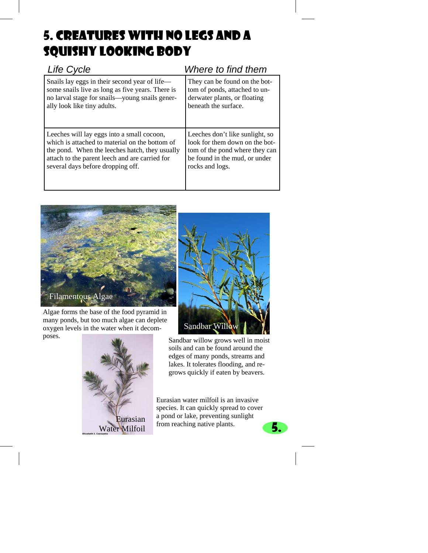## 5. Creatures with no legs and a squishy looking body

| Life Cycle                                       | Where to find them              |
|--------------------------------------------------|---------------------------------|
| Snails lay eggs in their second year of life—    | They can be found on the bot-   |
| some snails live as long as five years. There is | tom of ponds, attached to un-   |
| no larval stage for snails—young snails gener-   | derwater plants, or floating    |
| ally look like tiny adults.                      | beneath the surface.            |
| Leeches will lay eggs into a small cocoon,       | Leeches don't like sunlight, so |
| which is attached to material on the bottom of   | look for them down on the bot-  |
| the pond. When the leeches hatch, they usually   | tom of the pond where they can  |
| attach to the parent leech and are carried for   | be found in the mud, or under   |
| several days before dropping off.                | rocks and logs.                 |



Algae forms the base of the food pyramid in many ponds, but too much algae can deplete oxygen levels in the water when it decomposes.





Sandbar willow grows well in moist soils and can be found around the edges of many ponds, streams and lakes. It tolerates flooding, and regrows quickly if eaten by beavers.

Eurasian water milfoil is an invasive species. It can quickly spread to cover a pond or lake, preventing sunlight from reaching native plants.